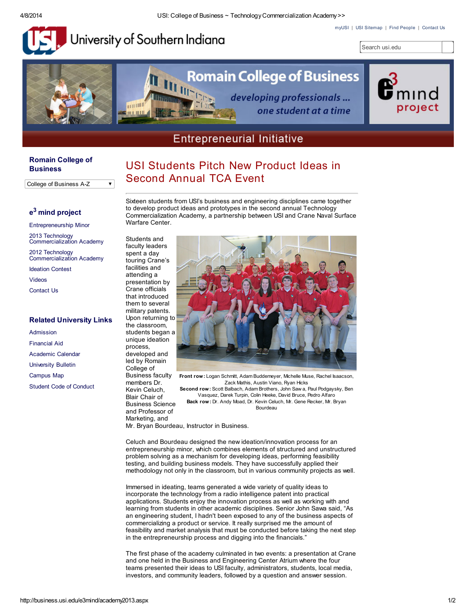#### 4/8/2014 USI: College of Business ~ TechnologyCommercialization Academy>>

[myUSI](http://my.usi.edu/) | USI [Sitemap](http://www.usi.edu/sitemap) | Find [People](http://www.usi.edu/directory) | [Contact](http://business.usi.edu/contactus.aspx) Us



University of Southern Indiana

**THE UP** 

 $\overline{\phantom{a}}$ 



# **Romain College of Business** developing professionals ...

one student at a time



## **Entrepreneurial Initiative**

USI Students Pitch New Product Ideas in

Second Annual TCA Event

#### Romain College of **[Business](http://business.usi.edu/)**

College of Business A-Z

### e<sup>3</sup> mind [project](http://business.usi.edu/e3mind/index.aspx)

| <b>Entrepreneurship Minor</b>                       |  |
|-----------------------------------------------------|--|
| 2013 Technology<br><b>Commercialization Academy</b> |  |
| 2012 Technology<br><b>Commercialization Academy</b> |  |
| <b>Ideation Contest</b>                             |  |
| <b>Videos</b>                                       |  |
| <b>Contact Us</b>                                   |  |
|                                                     |  |
|                                                     |  |

#### Related University Links

| Admission                      |
|--------------------------------|
| <b>Financial Aid</b>           |
| Academic Calendar              |
| <b>University Bulletin</b>     |
| <b>Campus Map</b>              |
| <b>Student Code of Conduct</b> |

Sixteen students from USI's business and engineering disciplines came together to develop product ideas and prototypes in the second annual Technology Commercialization Academy, a partnership between USI and Crane Naval Surface Warfare Center.

Students and faculty leaders spent a day touring Crane's facilities and attending a presentation by Crane officials that introduced them to several military patents. Upon returning to the classroom, students began a unique ideation process, developed and led by Romain College of Business faculty members Dr.

Kevin Celuch, Blair Chair of

Marketing, and



Front row: Logan Schmitt, Adam Buddemeyer, Michelle Muse, Rachel Isaacson, Zack Mathis, Austin Viano, Ryan Hicks Second row: Scott Balbach, Adam Brothers, John Saw a, Paul Podgaysky, Ben Vasquez, Darek Turpin, Colin Heeke, David Bruce, Pedro Alfaro Back row: Dr. Andy Moad, Dr. Kevin Celuch, Mr. Gene Recker, Mr. Bryan Bourdeau Business Science and Professor of

Mr. Bryan Bourdeau, Instructor in Business.

Celuch and Bourdeau designed the new ideation/innovation process for an entrepreneurship minor, which combines elements of structured and unstructured problem solving as a mechanism for developing ideas, performing feasibility testing, and building business models. They have successfully applied their methodology not only in the classroom, but in various community projects as well.

Immersed in ideating, teams generated a wide variety of quality ideas to incorporate the technology from a radio intelligence patent into practical applications. Students enjoy the innovation process as well as working with and learning from students in other academic disciplines. Senior John Sawa said, "As an engineering student, I hadn't been exposed to any of the business aspects of commercializing a product or service. It really surprised me the amount of feasibility and market analysis that must be conducted before taking the next step in the entrepreneurship process and digging into the financials."

The first phase of the academy culminated in two events: a presentation at Crane and one held in the Business and Engineering Center Atrium where the four teams presented their ideas to USI faculty, administrators, students, local media, investors, and community leaders, followed by a question and answer session.